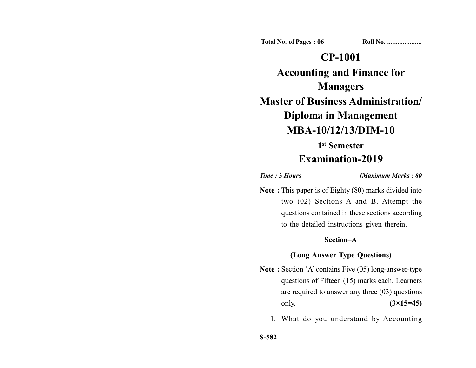**Total No. of Pages : 06 Roll No. ...................** 

## **CP-1001**

**Accounting and Finance for Managers Master of Business Administration/ Diploma in Management MBA-10/12/13/DIM-10 1st Semester**

# **Examination-2019**

*Time :* **3** *Hours [Maximum Marks : 80*

**Note :** This paper is of Eighty (80) marks divided into two (02) Sections A and B. Attempt the questions contained in these sections according to the detailed instructions given therein.

#### **Section–A**

#### **(Long Answer Type Questions)**

- **Note :** Section 'A' contains Five (05) long-answer-type questions of Fifteen (15) marks each. Learners are required to answer any three (03) questions only. **(3×15=45)**
	- 1. What do you understand by Accounting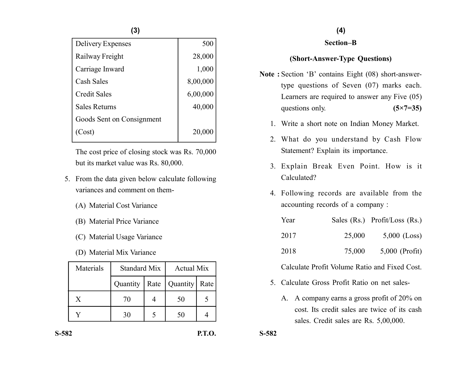**(3)**

| Delivery Expenses         | 500      |
|---------------------------|----------|
| Railway Freight           | 28,000   |
| Carriage Inward           | 1,000    |
| Cash Sales                | 8,00,000 |
| <b>Credit Sales</b>       | 6,00,000 |
| <b>Sales Returns</b>      | 40,000   |
| Goods Sent on Consignment |          |
| (Cost)                    | 20,000   |

The cost price of closing stock was Rs. 70,000 but its market value was Rs. 80,000.

- 5. From the data given below calculate following variances and comment on them-
	- (A) Material Cost Variance
	- (B) Material Price Variance
	- (C) Material Usage Variance
	- (D) Material Mix Variance

| Materials | <b>Standard Mix</b> |      | <b>Actual Mix</b> |      |
|-----------|---------------------|------|-------------------|------|
|           | Quantity            | Rate | Quantity          | Rate |
| Y         | 70                  |      | 50                |      |
|           | 30                  |      | 50                |      |

#### **(4)**

#### **Section–B**

### **(Short-Answer-Type Questions)**

- **Note :** Section 'B' contains Eight (08) short-answertype questions of Seven (07) marks each. Learners are required to answer any Five (05) questions only. **(5×7=35)** 
	- 1. Write a short note on Indian Money Market.
	- 2. What do you understand by Cash Flow Statement? Explain its importance.
	- 3. Explain Break Even Point. How is it Calculated?
	- 4. Following records are available from the accounting records of a company :

| Year |        | Sales (Rs.) Profit/Loss (Rs.) |
|------|--------|-------------------------------|
| 2017 | 25,000 | $5,000$ (Loss)                |
| 2018 | 75,000 | $5,000$ (Profit)              |

Calculate Profit Volume Ratio and Fixed Cost.

- 5. Calculate Gross Profit Ratio on net sales-
	- A. A company earns a gross profit of 20% on cost. Its credit sales are twice of its cash sales. Credit sales are Rs. 5,00,000.